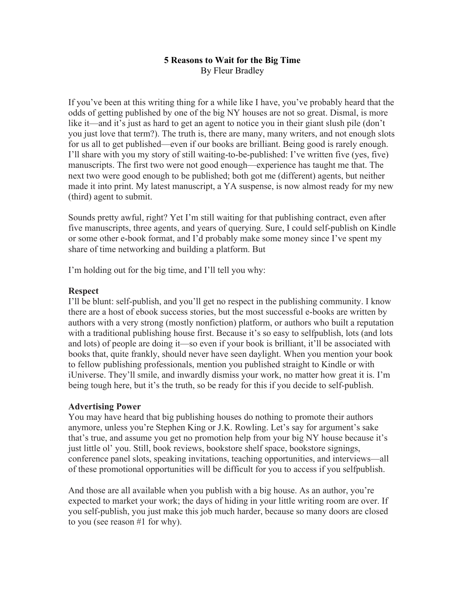## **5 Reasons to Wait for the Big Time** By Fleur Bradley

If you've been at this writing thing for a while like I have, you've probably heard that the odds of getting published by one of the big NY houses are not so great. Dismal, is more like it—and it's just as hard to get an agent to notice you in their giant slush pile (don't you just love that term?). The truth is, there are many, many writers, and not enough slots for us all to get published—even if our books are brilliant. Being good is rarely enough. I'll share with you my story of still waiting-to-be-published: I've written five (yes, five) manuscripts. The first two were not good enough—experience has taught me that. The next two were good enough to be published; both got me (different) agents, but neither made it into print. My latest manuscript, a YA suspense, is now almost ready for my new (third) agent to submit.

Sounds pretty awful, right? Yet I'm still waiting for that publishing contract, even after five manuscripts, three agents, and years of querying. Sure, I could self-publish on Kindle or some other e-book format, and I'd probably make some money since I've spent my share of time networking and building a platform. But

I'm holding out for the big time, and I'll tell you why:

## **Respect**

I'll be blunt: self-publish, and you'll get no respect in the publishing community. I know there are a host of ebook success stories, but the most successful e-books are written by authors with a very strong (mostly nonfiction) platform, or authors who built a reputation with a traditional publishing house first. Because it's so easy to selfpublish, lots (and lots and lots) of people are doing it—so even if your book is brilliant, it'll be associated with books that, quite frankly, should never have seen daylight. When you mention your book to fellow publishing professionals, mention you published straight to Kindle or with iUniverse. They'll smile, and inwardly dismiss your work, no matter how great it is. I'm being tough here, but it's the truth, so be ready for this if you decide to self-publish.

# **Advertising Power**

You may have heard that big publishing houses do nothing to promote their authors anymore, unless you're Stephen King or J.K. Rowling. Let's say for argument's sake that's true, and assume you get no promotion help from your big NY house because it's just little ol' you. Still, book reviews, bookstore shelf space, bookstore signings, conference panel slots, speaking invitations, teaching opportunities, and interviews—all of these promotional opportunities will be difficult for you to access if you selfpublish.

And those are all available when you publish with a big house. As an author, you're expected to market your work; the days of hiding in your little writing room are over. If you self-publish, you just make this job much harder, because so many doors are closed to you (see reason #1 for why).